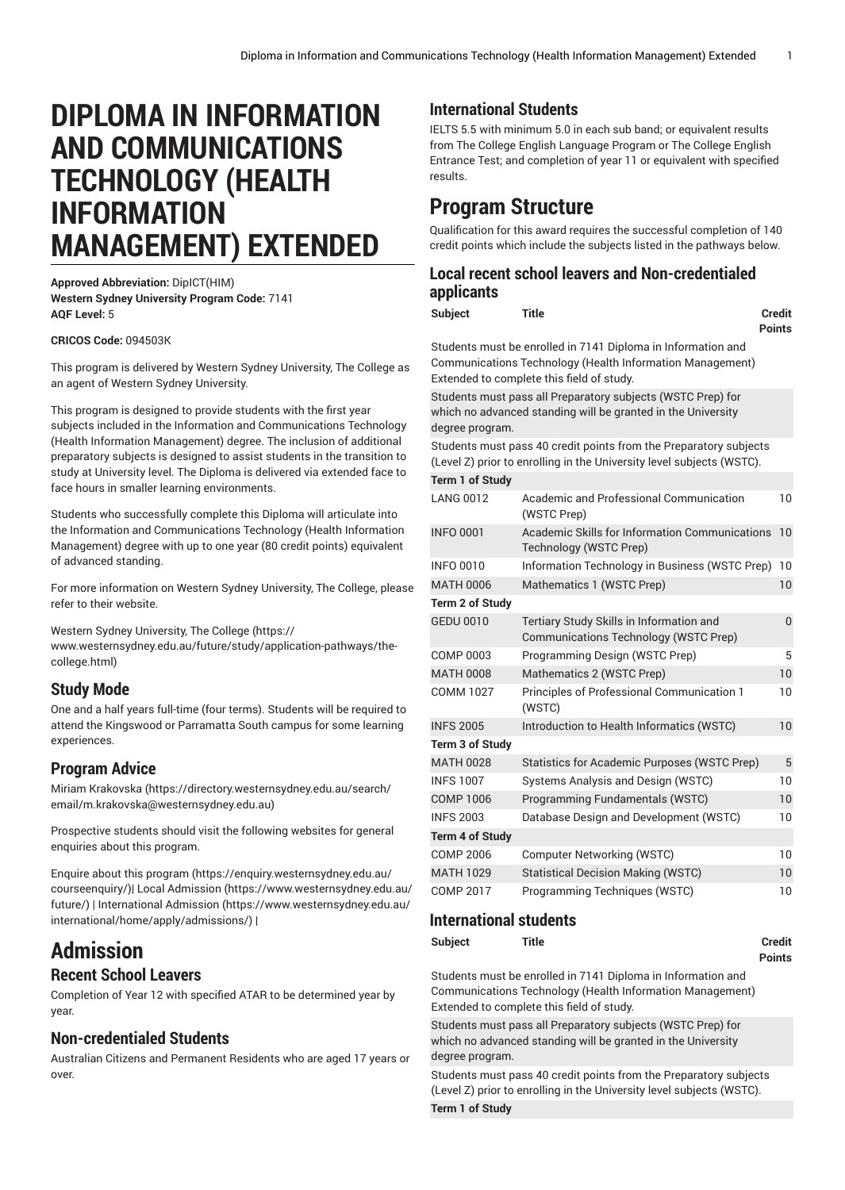# **DIPLOMA IN INFORMATION AND COMMUNICATIONS TECHNOLOGY (HEALTH INFORMATION MANAGEMENT) EXTENDED**

**Approved Abbreviation:** DipICT(HIM) **Western Sydney University Program Code:** 7141 **AQF Level:** 5

#### **CRICOS Code:** 094503K

This program is delivered by Western Sydney University, The College as an agent of Western Sydney University.

This program is designed to provide students with the first year subjects included in the Information and Communications Technology (Health Information Management) degree. The inclusion of additional preparatory subjects is designed to assist students in the transition to study at University level. The Diploma is delivered via extended face to face hours in smaller learning environments.

Students who successfully complete this Diploma will articulate into the Information and Communications Technology (Health Information Management) degree with up to one year (80 credit points) equivalent of advanced standing.

For more information on Western Sydney University, The College, please refer to their website.

Western Sydney [University,](https://www.westernsydney.edu.au/future/study/application-pathways/the-college.html) The College [\(https://](https://www.westernsydney.edu.au/future/study/application-pathways/the-college.html)

[www.westernsydney.edu.au/future/study/application-pathways/the](https://www.westernsydney.edu.au/future/study/application-pathways/the-college.html)[college.html](https://www.westernsydney.edu.au/future/study/application-pathways/the-college.html))

#### **Study Mode**

One and a half years full-time (four terms). Students will be required to attend the Kingswood or Parramatta South campus for some learning experiences.

#### **Program Advice**

Miriam [Krakovska \(https://directory.westernsydney.edu.au/search/](https://directory.westernsydney.edu.au/search/email/m.krakovska@westernsydney.edu.au) [email/m.krakovska@westernsydney.edu.au\)](https://directory.westernsydney.edu.au/search/email/m.krakovska@westernsydney.edu.au)

Prospective students should visit the following websites for general enquiries about this program.

Enquire about this [program \(https://enquiry.westernsydney.edu.au/](https://enquiry.westernsydney.edu.au/courseenquiry/) [courseenquiry/](https://enquiry.westernsydney.edu.au/courseenquiry/))| [Local Admission \(https://www.westernsydney.edu.au/](https://www.westernsydney.edu.au/future/) [future/\)](https://www.westernsydney.edu.au/future/) | [International Admission](https://www.westernsydney.edu.au/international/home/apply/admissions/) ([https://www.westernsydney.edu.au/](https://www.westernsydney.edu.au/international/home/apply/admissions/) [international/home/apply/admissions/](https://www.westernsydney.edu.au/international/home/apply/admissions/)) |

# **Admission**

### **Recent School Leavers**

Completion of Year 12 with specified ATAR to be determined year by year.

#### **Non-credentialed Students**

Australian Citizens and Permanent Residents who are aged 17 years or over.

## **International Students**

IELTS 5.5 with minimum 5.0 in each sub band; or equivalent results from The College English Language Program or The College English Entrance Test; and completion of year 11 or equivalent with specified results.

# **Program Structure**

Qualification for this award requires the successful completion of 140 credit points which include the subjects listed in the pathways below.

### **Local recent school leavers and Non-credentialed applicants**

**Subject Title Credit**

**Points**

Students must be enrolled in 7141 Diploma in Information and Communications Technology (Health Information Management) Extended to complete this field of study.

Students must pass all Preparatory subjects (WSTC Prep) for which no advanced standing will be granted in the University degree program.

Students must pass 40 credit points from the Preparatory subjects (Level Z) prior to enrolling in the University level subjects (WSTC).

| Term 1 of Study        |                                                                                   |          |
|------------------------|-----------------------------------------------------------------------------------|----------|
| <b>LANG 0012</b>       | Academic and Professional Communication<br>(WSTC Prep)                            | 10       |
| <b>INFO 0001</b>       | Academic Skills for Information Communications<br>Technology (WSTC Prep)          | 10       |
| <b>INFO 0010</b>       | Information Technology in Business (WSTC Prep)                                    | 10       |
| <b>MATH 0006</b>       | Mathematics 1 (WSTC Prep)                                                         | 10       |
| <b>Term 2 of Study</b> |                                                                                   |          |
| <b>GEDU 0010</b>       | Tertiary Study Skills in Information and<br>Communications Technology (WSTC Prep) | $\Omega$ |
| COMP 0003              | Programming Design (WSTC Prep)                                                    | 5        |
| <b>MATH 0008</b>       | Mathematics 2 (WSTC Prep)                                                         | 10       |
| <b>COMM 1027</b>       | <b>Principles of Professional Communication 1</b><br>(WSTC)                       | 10       |
| <b>INFS 2005</b>       | Introduction to Health Informatics (WSTC)                                         | 10       |
| <b>Term 3 of Study</b> |                                                                                   |          |
| <b>MATH 0028</b>       | Statistics for Academic Purposes (WSTC Prep)                                      | 5        |
| <b>INFS 1007</b>       | Systems Analysis and Design (WSTC)                                                | 10       |
| <b>COMP 1006</b>       | Programming Fundamentals (WSTC)                                                   | 10       |
| <b>INFS 2003</b>       | Database Design and Development (WSTC)                                            | 10       |
| <b>Term 4 of Study</b> |                                                                                   |          |
| <b>COMP 2006</b>       | <b>Computer Networking (WSTC)</b>                                                 | 10       |
| <b>MATH 1029</b>       | <b>Statistical Decision Making (WSTC)</b>                                         | 10       |
| <b>COMP 2017</b>       | Programming Techniques (WSTC)                                                     | 10       |

#### **International students**

**Subject Title Credit Points**

Students must be enrolled in 7141 Diploma in Information and Communications Technology (Health Information Management) Extended to complete this field of study.

Students must pass all Preparatory subjects (WSTC Prep) for which no advanced standing will be granted in the University degree program.

Students must pass 40 credit points from the Preparatory subjects (Level Z) prior to enrolling in the University level subjects (WSTC). **Term 1 of Study**